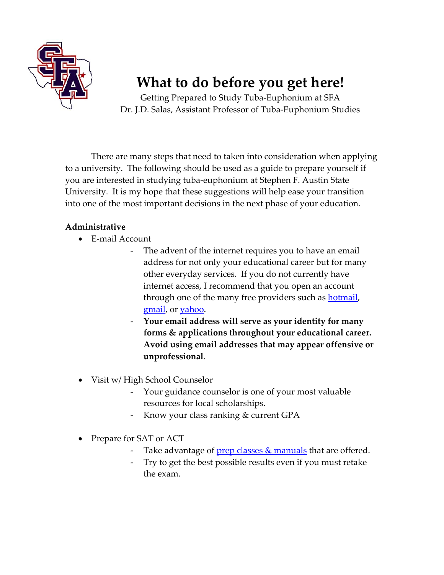

# **What to do before you get here!**

Getting Prepared to Study Tuba‐Euphonium at SFA Dr. J.D. Salas, Assistant Professor of Tuba‐Euphonium Studies

There are many steps that need to taken into consideration when applying to a university. The following should be used as a guide to prepare yourself if you are interested in studying tuba‐euphonium at Stephen F. Austin State University. It is my hope that these suggestions will help ease your transition into one of the most important decisions in the next phase of your education.

#### **Administrative**

- E‐mail Account
	- ‐ The advent of the internet requires you to have an email address for not only your educational career but for many other everyday services. If you do not currently have internet access, I recommend that you open an account through one of the many free providers such as **[hotmail](http://www.hotmail.com/)**, [gmail](http://www.gmail.com/), or [yahoo](http://www.yahoo.com/).
	- ‐ **Your email address will serve as your identity for many forms & applications throughout your educational career. Avoid using email addresses that may appear offensive or unprofessional**.
- Visit w/ High School Counselor
	- ‐ Your guidance counselor is one of your most valuable resources for local scholarships.
	- Know your class ranking & current GPA
- Prepare for SAT or ACT
	- Take advantage of  $prep$  classes  $&$  [manuals](http://www.act-sat-prep.com/) that are offered.
	- ‐ Try to get the best possible results even if you must retake the exam.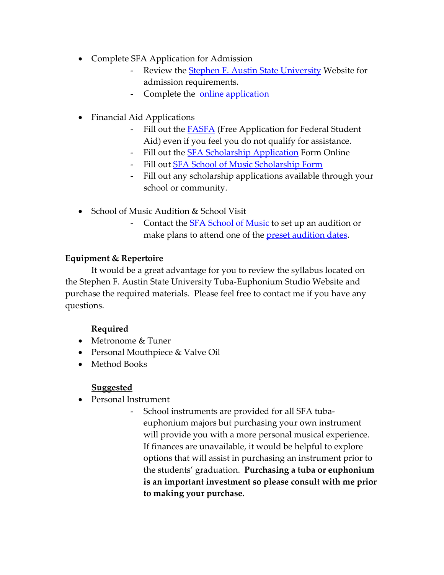- Complete SFA Application for Admission
	- Review the Stephen F. Austin State [University](http://www.sfasu.edu/admissions/freshmen/) Website for admission requirements.
	- Complete the **online [application](http://www.sfasu.edu/admissions/prospective.asp)**
- Financial Aid Applications
	- Fill out the **[FASFA](http://www.fafsa.ed.gov/)** (Free Application for Federal Student Aid) even if you feel you do not qualify for assistance.
	- Fill out the **SFA Scholarship [Application](http://www2.sfasu.edu/faid/)** Form Online
	- Fill out **SFA School of Music [Scholarship](http://www.music.sfasu.edu/prospective_students/scholarships_financial_aid.html#Applications) Form**
	- ‐ Fill out any scholarship applications available through your school or community.
- School of Music Audition & School Visit
	- Contact the **SFA [School](http://www.music.sfasu.edu/) of Music** to set up an audition or make plans to attend one of the **preset [audition](http://www.music.sfasu.edu/prospective_students/scholarships_financial_aid.html) dates**.

#### **Equipment & Repertoire**

It would be a great advantage for you to review the syllabus located on the Stephen F. Austin State University Tuba‐Euphonium Studio Website and purchase the required materials. Please feel free to contact me if you have any questions.

### **Required**

- Metronome & Tuner
- Personal Mouthpiece & Valve Oil
- Method Books

#### **Suggested**

- Personal Instrument
	- ‐ School instruments are provided for all SFA tuba‐ euphonium majors but purchasing your own instrument will provide you with a more personal musical experience. If finances are unavailable, it would be helpful to explore options that will assist in purchasing an instrument prior to the students' graduation. **Purchasing a tuba or euphonium is an important investment so please consult with me prior to making your purchase.**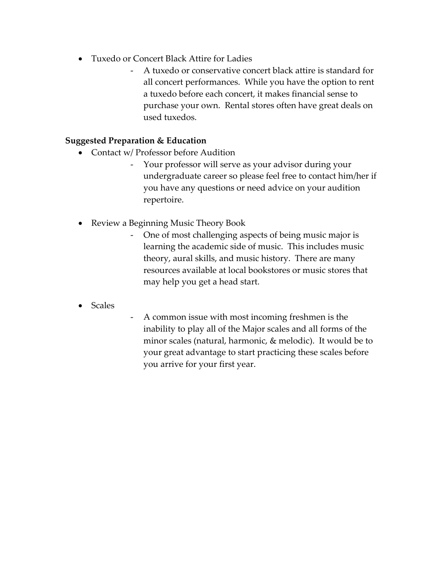- Tuxedo or Concert Black Attire for Ladies
	- ‐ A tuxedo or conservative concert black attire is standard for all concert performances. While you have the option to rent a tuxedo before each concert, it makes financial sense to purchase your own. Rental stores often have great deals on used tuxedos.

#### **Suggested Preparation & Education**

- Contact w/ Professor before Audition
	- ‐ Your professor will serve as your advisor during your undergraduate career so please feel free to contact him/her if you have any questions or need advice on your audition repertoire.
- Review a Beginning Music Theory Book
	- ‐ One of most challenging aspects of being music major is learning the academic side of music. This includes music theory, aural skills, and music history. There are many resources available at local bookstores or music stores that may help you get a head start.
- Scales
- ‐ A common issue with most incoming freshmen is the inability to play all of the Major scales and all forms of the minor scales (natural, harmonic, & melodic). It would be to your great advantage to start practicing these scales before you arrive for your first year.